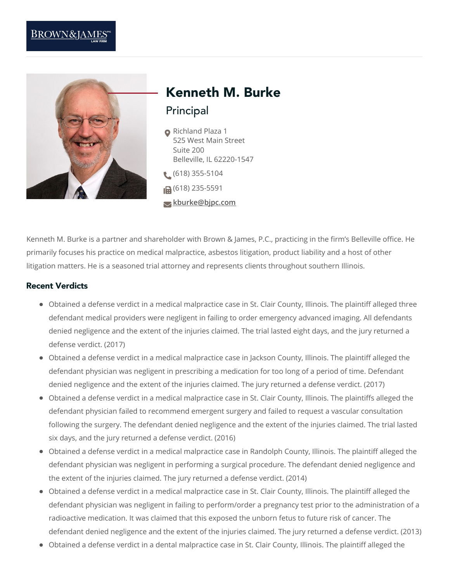

# Principal Kenneth M. Burke

- Richland Plaza 1 525 West Main Street Suite 200 Belleville, IL 62220-1547 (618) 355-5104
- $\Box$  (618) 235-5591
- **[kburke@bjpc.com](mailto:kburke@bjpc.com)**
- 

Kenneth M. Burke is a partner and shareholder with Brown & James, P.C., practicing in the firm's Belleville office. He primarily focuses his practice on medical malpractice, asbestos litigation, product liability and a host of other litigation matters. He is a seasoned trial attorney and represents clients throughout southern Illinois.

#### Recent Verdicts

- Obtained a defense verdict in a medical malpractice case in St. Clair County, Illinois. The plaintiff alleged three defendant medical providers were negligent in failing to order emergency advanced imaging. All defendants denied negligence and the extent of the injuries claimed. The trial lasted eight days, and the jury returned a defense verdict. (2017)
- Obtained a defense verdict in a medical malpractice case in Jackson County, Illinois. The plaintiff alleged the defendant physician was negligent in prescribing a medication for too long of a period of time. Defendant denied negligence and the extent of the injuries claimed. The jury returned a defense verdict. (2017)
- Obtained a defense verdict in a medical malpractice case in St. Clair County, Illinois. The plaintiffs alleged the defendant physician failed to recommend emergent surgery and failed to request a vascular consultation following the surgery. The defendant denied negligence and the extent of the injuries claimed. The trial lasted six days, and the jury returned a defense verdict. (2016)
- Obtained a defense verdict in a medical malpractice case in Randolph County, Illinois. The plaintiff alleged the defendant physician was negligent in performing a surgical procedure. The defendant denied negligence and the extent of the injuries claimed. The jury returned a defense verdict. (2014)
- Obtained a defense verdict in a medical malpractice case in St. Clair County, Illinois. The plaintiff alleged the defendant physician was negligent in failing to perform/order a pregnancy test prior to the administration of a radioactive medication. It was claimed that this exposed the unborn fetus to future risk of cancer. The defendant denied negligence and the extent of the injuries claimed. The jury returned a defense verdict. (2013)
- Obtained a defense verdict in a dental malpractice case in St. Clair County, Illinois. The plaintiff alleged the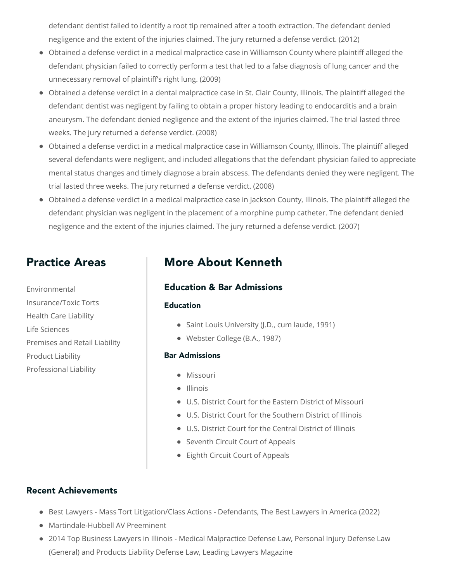defendant dentist failed to identify a root tip remained after a tooth extraction. The defendant denied negligence and the extent of the injuries claimed. The jury returned a defense verdict. (2012)

- Obtained a defense verdict in a medical malpractice case in Williamson County where plaintiff alleged the defendant physician failed to correctly perform a test that led to a false diagnosis of lung cancer and the unnecessary removal of plaintiff's right lung. (2009)
- Obtained a defense verdict in a dental malpractice case in St. Clair County, Illinois. The plaintiff alleged the defendant dentist was negligent by failing to obtain a proper history leading to endocarditis and a brain aneurysm. The defendant denied negligence and the extent of the injuries claimed. The trial lasted three weeks. The jury returned a defense verdict. (2008)
- Obtained a defense verdict in a medical malpractice case in Williamson County, Illinois. The plaintiff alleged several defendants were negligent, and included allegations that the defendant physician failed to appreciate mental status changes and timely diagnose a brain abscess. The defendants denied they were negligent. The trial lasted three weeks. The jury returned a defense verdict. (2008)
- Obtained a defense verdict in a medical malpractice case in Jackson County, Illinois. The plaintiff alleged the defendant physician was negligent in the placement of a morphine pump catheter. The defendant denied negligence and the extent of the injuries claimed. The jury returned a defense verdict. (2007)

# Practice Areas

Environmental Insurance/Toxic Torts Health Care Liability Life Sciences Premises and Retail Liability Product Liability Professional Liability

# More About Kenneth

### Education & Bar Admissions

#### **Education**

- Saint Louis University (J.D., cum laude, 1991)
- Webster College (B.A., 1987)

#### Bar Admissions

- **•** Missouri
- Illinois
- U.S. District Court for the Eastern District of Missouri
- U.S. District Court for the Southern District of Illinois
- U.S. District Court for the Central District of Illinois
- Seventh Circuit Court of Appeals
- Eighth Circuit Court of Appeals

## Recent Achievements

- **Best Lawyers Mass Tort Litigation/Class Actions Defendants, The Best Lawyers in America (2022)**
- Martindale-Hubbell AV Preeminent
- 2014 Top Business Lawyers in Illinois Medical Malpractice Defense Law, Personal Injury Defense Law (General) and Products Liability Defense Law, Leading Lawyers Magazine